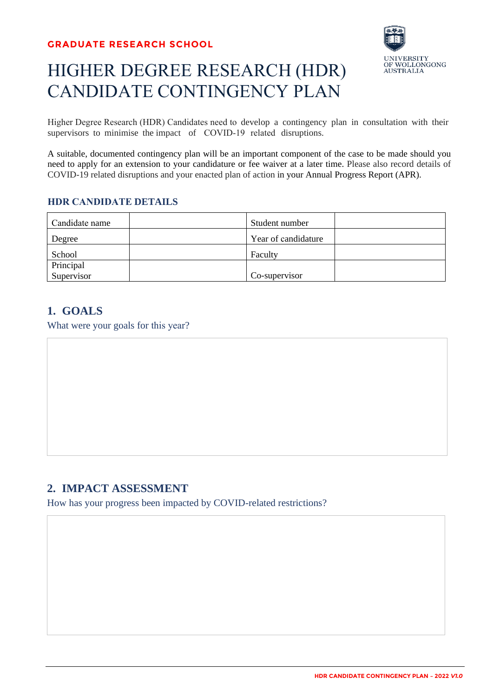# HIGHER DEGREE RESEARCH (HDR) CANDIDATE CONTINGENCY PLAN



Higher Degree Research (HDR) Candidates need to develop a contingency plan in consultation with their supervisors to minimise the impact of COVID-19 related disruptions.

A suitable, documented contingency plan will be an important component of the case to be made should you need to apply for an extension to your candidature or fee waiver at a later time. Please also record details of COVID-19 related disruptions and your enacted plan of action in your Annual Progress Report (APR).

#### **HDR CANDIDATE DETAILS**

| Candidate name | Student number      |
|----------------|---------------------|
| Degree         | Year of candidature |
| School         | Faculty             |
| Principal      |                     |
| Supervisor     | Co-supervisor       |

### **1. GOALS**

What were your goals for this year?

### **2. IMPACT ASSESSMENT**

How has your progress been impacted by COVID-related restrictions?